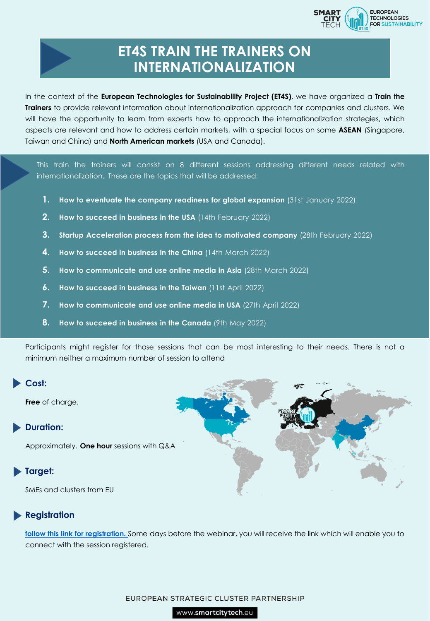

# **ET4S TRAIN THE TRAINERS ON INTERNATIONALIZATION**

In the context of the **European Technologies for Sustainability Project (ET4S)**, we have organized a **Train the Trainers** to provide relevant information about internationalization approach for companies and clusters. We will have the opportunity to learn from experts how to approach the internationalization strategies, which aspects are relevant and how to address certain markets, with a special focus on some **ASEAN** (Singapore, Taiwan and China) and **North American markets** (USA and Canada).

This train the trainers will consist on 8 different sessions addressing different needs related with internationalization. These are the topics that will be addressed:

- **1. How to eventuate the company readiness for global expansion** (31st January 2022)
- **2. How to succeed in business in the USA** (14th February 2022)
- **3. Startup Acceleration process from the idea to motivated company** (28th February 2022)
- **4. How to succeed in business in the China** (14th March 2022)
- **5. How to communicate and use online media in Asia** (28th March 2022)
- **6. How to succeed in business in the Taiwan** (11st April 2022)
- **7. How to communicate and use online media in USA** (27th April 2022)
- **8. How to succeed in business in the Canada** (9th May 2022)

Participants might register for those sessions that can be most interesting to their needs. There is not a minimum neither a maximum number of session to attend

## **Cost:**

**Free** of charge.

## **Duration:**

Approximately. **One hour** sessions with Q&A

## **Target:**

SMEs and clusters from EU

## **Registration**

**[follow this link for registration.](https://docs.google.com/forms/d/e/1FAIpQLSdD-5x9GUsAn1cLhwpLI34yxeGC7tpSLQIcySSJhIj3s-i26g/viewform?vc=0&c=0&w=1&flr=0)** Some days before the webinar, you will receive the link which will enable you to connect with the session registered.

### EUROPEAN STRATEGIC CLUSTER PARTNERSHIP

www.smartcitytech.eu